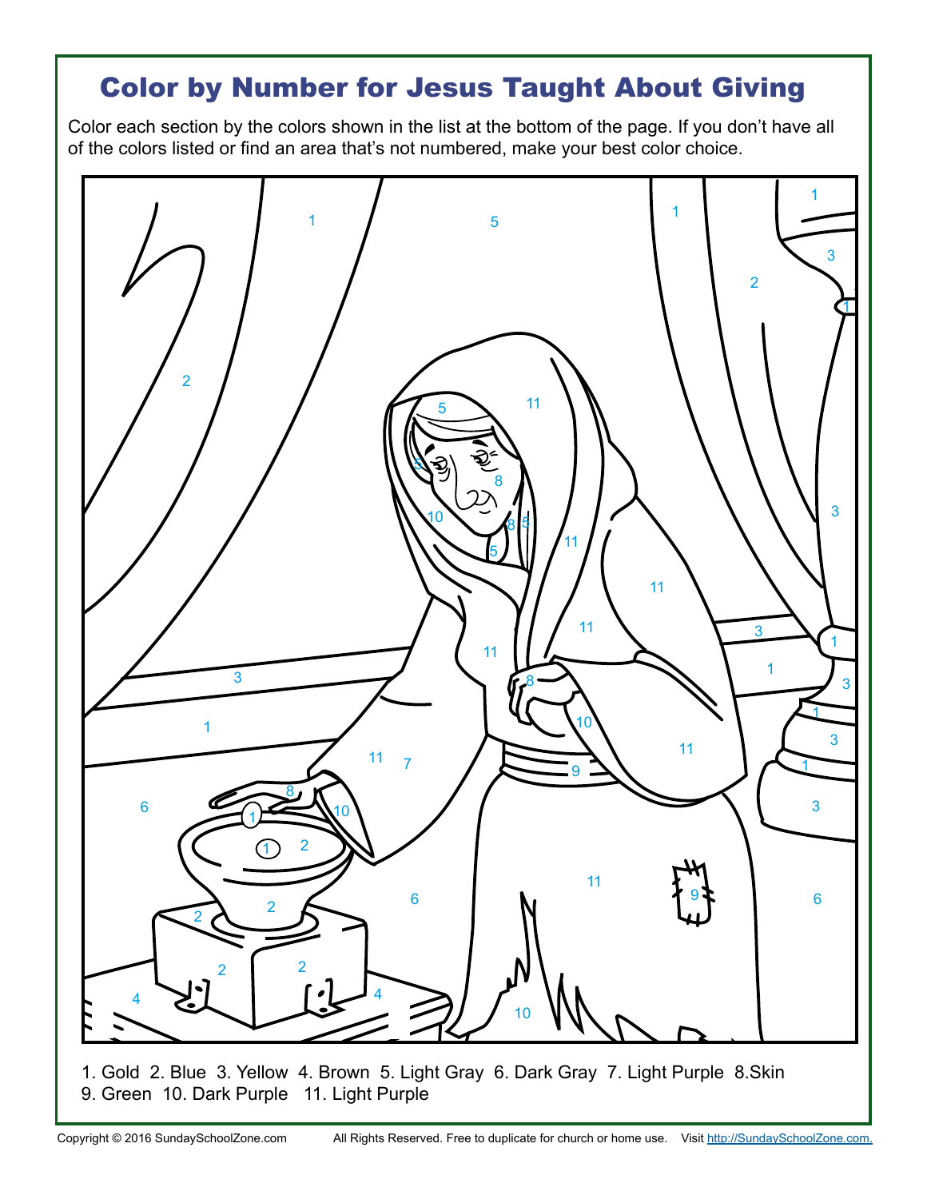## Color by Number for Jesus Taught About Giving

Color each section by the colors shown in the list at the bottom of the page. If you don't have all of the colors listed or find an area that's not numbered, make your best color choice.



1. Gold 2. Blue 3. Yellow 4. Brown 5. Light Gray 6. Dark Gray 7. Light Purple 8.Skin 9. Green 10. Dark Purple 11. Light Purple